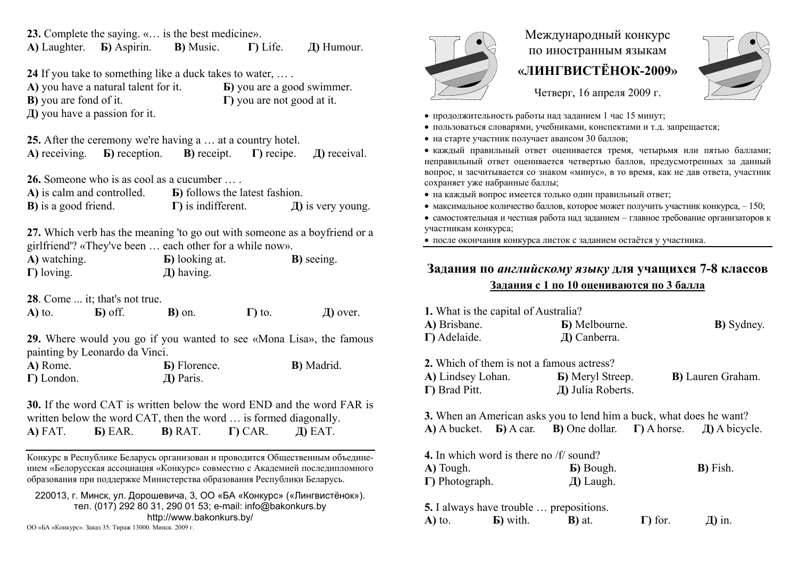**23.** Complete the saying. «… is the best medicine». **A)** Laughter. **Б)** Aspirin. **В)** Music. **Г)** Life. **Д)** Humour.

**24** If you take to something like a duck takes to water, … .

**A)** you have a natural talent for it. **Б)** you are a good swimmer. **В)** you are fond of it. **Г)** you are not good at it. **Д)** you have a passion for it.

**25.** After the ceremony we're having a … at a country hotel. **A)** receiving. **Б)** reception. **В)** receipt. **Г)** recipe. **Д)** receival.

**26.** Someone who is as cool as a cucumber … .

| A) is calm and controlled.   | <b>B</b> ) follows the latest fashion. |                        |
|------------------------------|----------------------------------------|------------------------|
| <b>B</b> ) is a good friend. | $\Gamma$ ) is indifferent.             | $\pi$ ) is very young. |

**27.** Which verb has the meaning 'to go out with someone as a boyfriend or a girlfriend'? «They've been … each other for a while now».

| A) watching.       | <b>b</b> ) looking at. | <b>B</b> ) seeing. |
|--------------------|------------------------|--------------------|
| $\Gamma$ ) loving. | $\pi$ ) having.        |                    |

**28**. Come ... it; that's not true.

**A)** to. **Б)** off. **В)** on. **Г)** to. **Д)** over.

**29.** Where would you go if you wanted to see «Mona Lisa», the famous painting by Leonardo da Vinci.

| A) Rome.           | <b>B</b> ) Florence. | <b>B</b> ) Madrid. |
|--------------------|----------------------|--------------------|
| $\Gamma$ ) London. | Д) Paris.            |                    |

**30.** If the word CAT is written below the word END and the word FAR is written below the word CAT, then the word … is formed diagonally. **A)** FAT. **Б)** EAR. **В)** RAT. **Г)** CAR. **Д)** EAT.

Конкурс <sup>в</sup> Республике Беларусь организован и проводится Общественным объединением «Белорусская ассоциация «Конкурс» совместно <sup>с</sup> Академией последипломного образования при поддержке Министерства образования Республики Беларусь.

220013, <sup>г</sup>. Минск, ул. Дорошевича, 3, ОО «БА «Конкурс» («Лингвистёнок»). тел. (017) 292 80 31, 290 01 53; e-mail: info@bakonkurs.by http://www.bakonkurs.by/

**<sup>Д</sup>)** in. ОО «БА «Конкурс». Заказ 35. Тираж 13000. Минск. 2009 <sup>г</sup>.



## Международный конкурс по иностранным языкам **«ЛИНГВИСТЁНОК-2009»**



Четверг, 16 апреля 2009 г.

- продолжительность работы над заданием 1 час 15 минут;
- пользоваться словарями, учебниками, конспектами и <sup>т</sup>.д. запрещается;
- на старте участник получает авансом 30 баллов;

 каждый правильный ответ оценивается тремя, четырьмя или пятью баллами; неправильный ответ оценивается четвертью баллов, предусмотренных за данный вопрос, <sup>и</sup> засчитывается со знаком «минус», <sup>в</sup> то время, как не дав ответа, участник сохраняет уже набранные баллы;

- на каждый вопрос имеется только один правильный ответ;
- максимальное количество баллов, которое может получить участник конкурса,  $-150$ ;

• самостоятельная и честная работа над заданием - главное требование организаторов к участникам конкурса;

после окончания конкурса листок <sup>с</sup> заданием остаётся у участника.

## **Задания по** *английскому языку* **для учащихся 7-8 классов Задания <sup>с</sup> 1 по 10 оцениваются по 3 балла**

| 1. What is the capital of Australia?     |                                                                                                               |                 |                           |
|------------------------------------------|---------------------------------------------------------------------------------------------------------------|-----------------|---------------------------|
| A) Brisbane.                             | <b>B</b> ) Melbourne.                                                                                         |                 | <b>B</b> ) Sydney.        |
| $\Gamma$ ) Adelaide.                     | Д) Canberra.                                                                                                  |                 |                           |
|                                          | 2. Which of them is not a famous actress?                                                                     |                 |                           |
|                                          | <b>A)</b> Lindsey Lohan. <b>b</b> ) Meryl Streep.                                                             |                 | <b>B</b> ) Lauren Graham. |
| $\Gamma$ ) Brad Pitt.                    | Д) Julia Roberts.                                                                                             |                 |                           |
|                                          | <b>3.</b> When an American asks you to lend him a buck, what does he want?                                    |                 |                           |
|                                          | $\overline{A}$ ) A bucket. <b>b</b> ) A car. <b>b</b> ) One dollar. <b>c</b> ) A horse. <b>h</b> ) A bicycle. |                 |                           |
| 4. In which word is there no $/f$ sound? |                                                                                                               |                 |                           |
| A) Tough.                                | <b>b</b> ) Bough.                                                                                             |                 | <b>B</b> ) Fish.          |
| $\Gamma$ ) Photograph.                   | $\pi$ ) Laugh.                                                                                                |                 |                           |
|                                          | <b>5.</b> I always have trouble  prepositions.                                                                |                 |                           |
| $\bf{A}$ ) to. $\bf{B}$ ) with.          | <b>B</b> ) at.                                                                                                | $\Gamma$ ) for. | $\pi$ ) in.               |